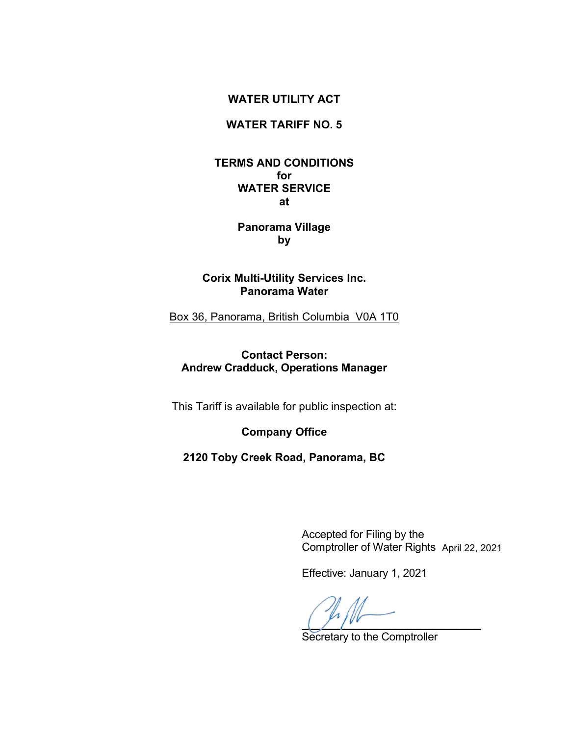## **WATER UTILITY ACT**

# **WATER TARIFF NO. 5**

## **TERMS AND CONDITIONS for WATER SERVICE at**

# **Panorama Village by**

# **Corix Multi-Utility Services Inc. Panorama Water**

Box 36, Panorama, British Columbia V0A 1T0

# **Contact Person: Andrew Cradduck, Operations Manager**

This Tariff is available for public inspection at:

**Company Office**

**2120 Toby Creek Road, Panorama, BC**

 Accepted for Filing by the Comptroller of Water Rights April 22, 2021

Effective: January 1, 2021

 $\overline{a}$ 

Secretary to the Comptroller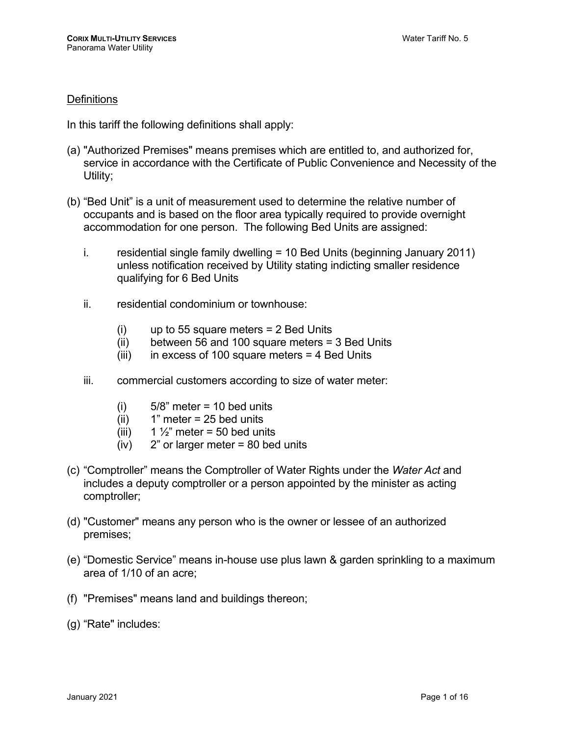## **Definitions**

In this tariff the following definitions shall apply:

- (a) "Authorized Premises" means premises which are entitled to, and authorized for, service in accordance with the Certificate of Public Convenience and Necessity of the Utility:
- (b) "Bed Unit" is a unit of measurement used to determine the relative number of occupants and is based on the floor area typically required to provide overnight accommodation for one person. The following Bed Units are assigned:
	- i. residential single family dwelling  $= 10$  Bed Units (beginning January 2011) unless notification received by Utility stating indicting smaller residence qualifying for 6 Bed Units
	- ii. residential condominium or townhouse:
		- $(i)$  up to 55 square meters = 2 Bed Units
		- (ii) between 56 and 100 square meters = 3 Bed Units
		- (iii) in excess of 100 square meters  $=$  4 Bed Units
	- iii. commercial customers according to size of water meter:
		- $(i)$  5/8" meter = 10 bed units
		- $(ii)$  1" meter = 25 bed units
		- (iii)  $1\frac{1}{2}$ " meter = 50 bed units
		- $(iv)$  2" or larger meter = 80 bed units
- (c) "Comptroller" means the Comptroller of Water Rights under the *Water Act* and includes a deputy comptroller or a person appointed by the minister as acting comptroller;
- (d) "Customer" means any person who is the owner or lessee of an authorized premises;
- (e) "Domestic Service" means in-house use plus lawn & garden sprinkling to a maximum area of 1/10 of an acre;
- (f) "Premises" means land and buildings thereon;
- (g) "Rate" includes: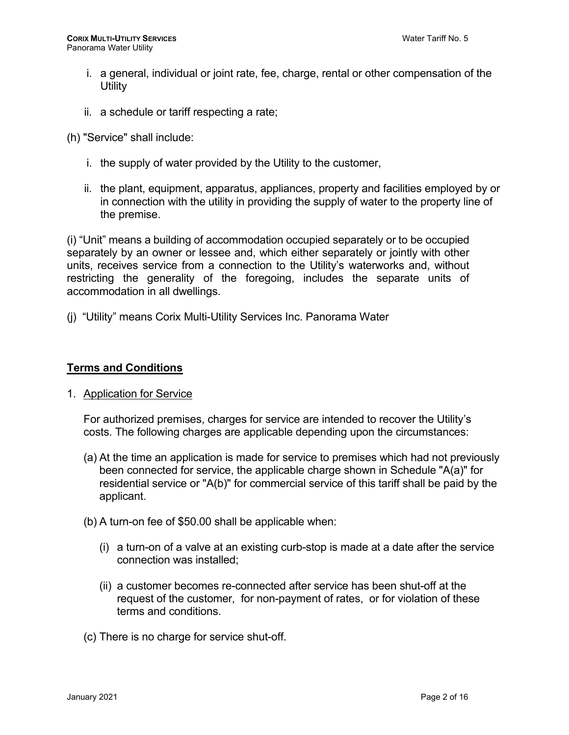- i. a general, individual or joint rate, fee, charge, rental or other compensation of the **Utility**
- ii. a schedule or tariff respecting a rate;
- (h) "Service" shall include:
	- i. the supply of water provided by the Utility to the customer,
	- ii. the plant, equipment, apparatus, appliances, property and facilities employed by or in connection with the utility in providing the supply of water to the property line of the premise.

(i) "Unit" means a building of accommodation occupied separately or to be occupied separately by an owner or lessee and, which either separately or jointly with other units, receives service from a connection to the Utility's waterworks and, without restricting the generality of the foregoing, includes the separate units of accommodation in all dwellings.

(j) "Utility" means Corix Multi-Utility Services Inc. Panorama Water

#### **Terms and Conditions**

1. Application for Service

For authorized premises, charges for service are intended to recover the Utility's costs. The following charges are applicable depending upon the circumstances:

- (a) At the time an application is made for service to premises which had not previously been connected for service, the applicable charge shown in Schedule "A(a)" for residential service or "A(b)" for commercial service of this tariff shall be paid by the applicant.
- (b) A turn-on fee of \$50.00 shall be applicable when:
	- (i) a turn-on of a valve at an existing curb-stop is made at a date after the service connection was installed;
	- (ii) a customer becomes re-connected after service has been shut-off at the request of the customer, for non-payment of rates, or for violation of these terms and conditions.
- (c) There is no charge for service shut-off.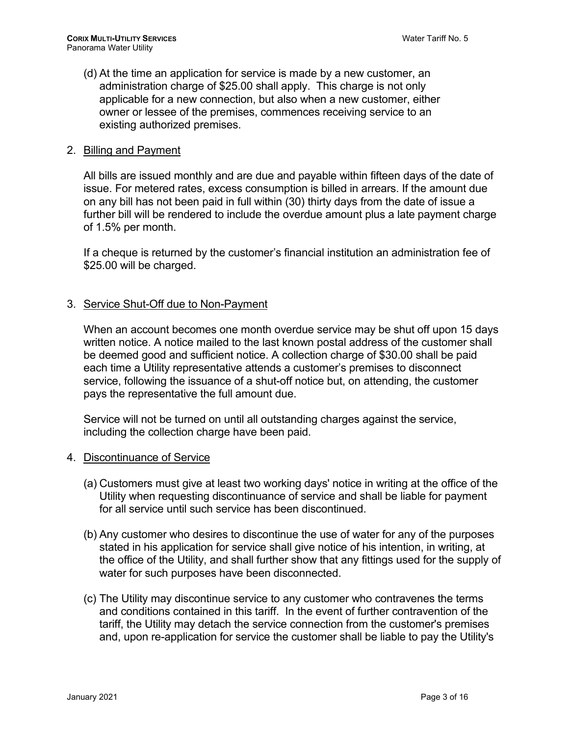(d) At the time an application for service is made by a new customer, an administration charge of \$25.00 shall apply. This charge is not only applicable for a new connection, but also when a new customer, either owner or lessee of the premises, commences receiving service to an existing authorized premises.

#### 2. Billing and Payment

All bills are issued monthly and are due and payable within fifteen days of the date of issue. For metered rates, excess consumption is billed in arrears. If the amount due on any bill has not been paid in full within (30) thirty days from the date of issue a further bill will be rendered to include the overdue amount plus a late payment charge of 1.5% per month.

If a cheque is returned by the customer's financial institution an administration fee of \$25.00 will be charged.

#### 3. Service Shut-Off due to Non-Payment

When an account becomes one month overdue service may be shut off upon 15 days written notice. A notice mailed to the last known postal address of the customer shall be deemed good and sufficient notice. A collection charge of \$30.00 shall be paid each time a Utility representative attends a customer's premises to disconnect service, following the issuance of a shut-off notice but, on attending, the customer pays the representative the full amount due.

Service will not be turned on until all outstanding charges against the service, including the collection charge have been paid.

#### 4. Discontinuance of Service

- (a) Customers must give at least two working days' notice in writing at the office of the Utility when requesting discontinuance of service and shall be liable for payment for all service until such service has been discontinued.
- (b) Any customer who desires to discontinue the use of water for any of the purposes stated in his application for service shall give notice of his intention, in writing, at the office of the Utility, and shall further show that any fittings used for the supply of water for such purposes have been disconnected.
- (c) The Utility may discontinue service to any customer who contravenes the terms and conditions contained in this tariff. In the event of further contravention of the tariff, the Utility may detach the service connection from the customer's premises and, upon re-application for service the customer shall be liable to pay the Utility's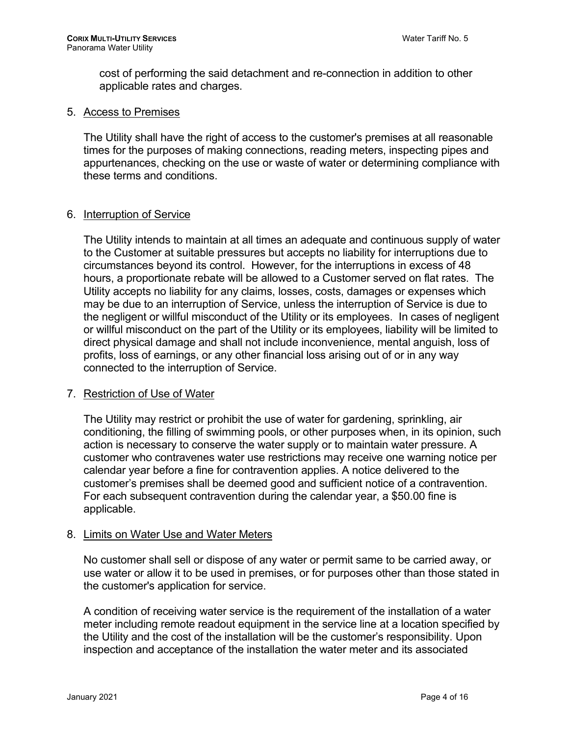cost of performing the said detachment and re-connection in addition to other applicable rates and charges.

#### 5. Access to Premises

The Utility shall have the right of access to the customer's premises at all reasonable times for the purposes of making connections, reading meters, inspecting pipes and appurtenances, checking on the use or waste of water or determining compliance with these terms and conditions.

### 6. Interruption of Service

The Utility intends to maintain at all times an adequate and continuous supply of water to the Customer at suitable pressures but accepts no liability for interruptions due to circumstances beyond its control. However, for the interruptions in excess of 48 hours, a proportionate rebate will be allowed to a Customer served on flat rates. The Utility accepts no liability for any claims, losses, costs, damages or expenses which may be due to an interruption of Service, unless the interruption of Service is due to the negligent or willful misconduct of the Utility or its employees. In cases of negligent or willful misconduct on the part of the Utility or its employees, liability will be limited to direct physical damage and shall not include inconvenience, mental anguish, loss of profits, loss of earnings, or any other financial loss arising out of or in any way connected to the interruption of Service.

### 7. Restriction of Use of Water

The Utility may restrict or prohibit the use of water for gardening, sprinkling, air conditioning, the filling of swimming pools, or other purposes when, in its opinion, such action is necessary to conserve the water supply or to maintain water pressure. A customer who contravenes water use restrictions may receive one warning notice per calendar year before a fine for contravention applies. A notice delivered to the customer's premises shall be deemed good and sufficient notice of a contravention. For each subsequent contravention during the calendar year, a \$50.00 fine is applicable.

#### 8. Limits on Water Use and Water Meters

No customer shall sell or dispose of any water or permit same to be carried away, or use water or allow it to be used in premises, or for purposes other than those stated in the customer's application for service.

A condition of receiving water service is the requirement of the installation of a water meter including remote readout equipment in the service line at a location specified by the Utility and the cost of the installation will be the customer's responsibility. Upon inspection and acceptance of the installation the water meter and its associated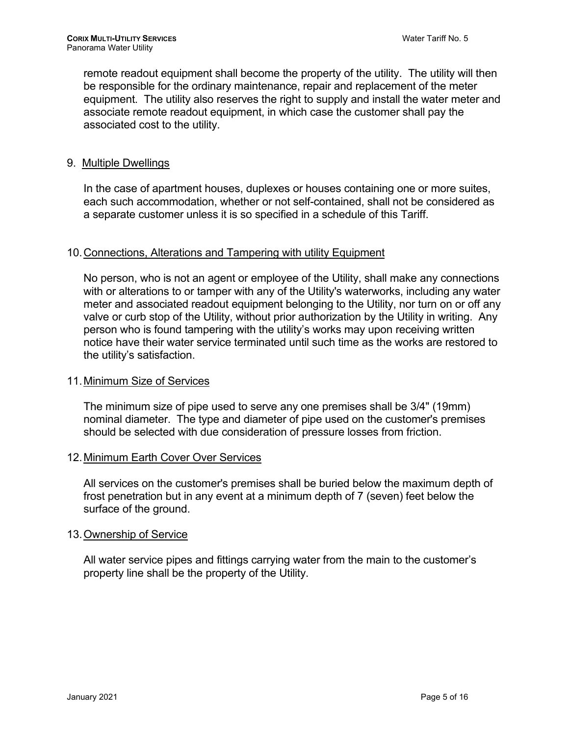remote readout equipment shall become the property of the utility. The utility will then be responsible for the ordinary maintenance, repair and replacement of the meter equipment. The utility also reserves the right to supply and install the water meter and associate remote readout equipment, in which case the customer shall pay the associated cost to the utility.

### 9. Multiple Dwellings

In the case of apartment houses, duplexes or houses containing one or more suites, each such accommodation, whether or not self-contained, shall not be considered as a separate customer unless it is so specified in a schedule of this Tariff.

#### 10.Connections, Alterations and Tampering with utility Equipment

No person, who is not an agent or employee of the Utility, shall make any connections with or alterations to or tamper with any of the Utility's waterworks, including any water meter and associated readout equipment belonging to the Utility, nor turn on or off any valve or curb stop of the Utility, without prior authorization by the Utility in writing. Any person who is found tampering with the utility's works may upon receiving written notice have their water service terminated until such time as the works are restored to the utility's satisfaction.

#### 11.Minimum Size of Services

The minimum size of pipe used to serve any one premises shall be 3/4" (19mm) nominal diameter. The type and diameter of pipe used on the customer's premises should be selected with due consideration of pressure losses from friction.

#### 12.Minimum Earth Cover Over Services

All services on the customer's premises shall be buried below the maximum depth of frost penetration but in any event at a minimum depth of 7 (seven) feet below the surface of the ground.

### 13.Ownership of Service

All water service pipes and fittings carrying water from the main to the customer's property line shall be the property of the Utility.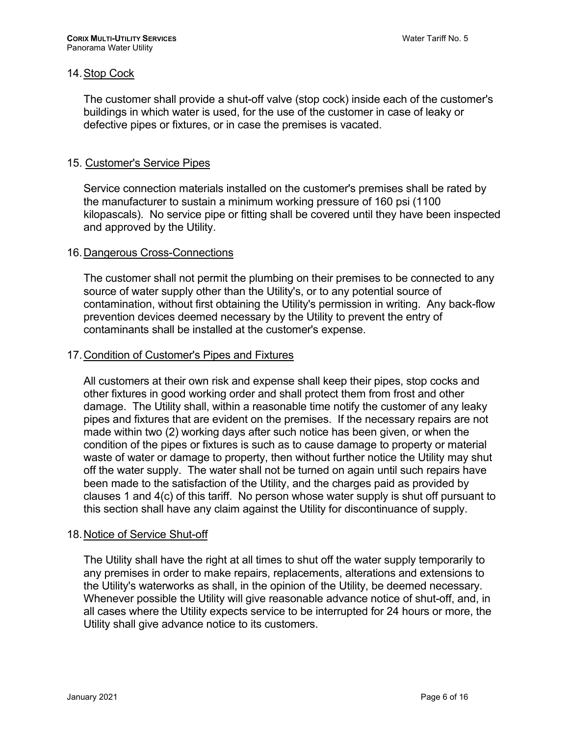## 14.Stop Cock

The customer shall provide a shut-off valve (stop cock) inside each of the customer's buildings in which water is used, for the use of the customer in case of leaky or defective pipes or fixtures, or in case the premises is vacated.

## 15. Customer's Service Pipes

Service connection materials installed on the customer's premises shall be rated by the manufacturer to sustain a minimum working pressure of 160 psi (1100 kilopascals). No service pipe or fitting shall be covered until they have been inspected and approved by the Utility.

### 16.Dangerous Cross-Connections

The customer shall not permit the plumbing on their premises to be connected to any source of water supply other than the Utility's, or to any potential source of contamination, without first obtaining the Utility's permission in writing. Any back-flow prevention devices deemed necessary by the Utility to prevent the entry of contaminants shall be installed at the customer's expense.

### 17.Condition of Customer's Pipes and Fixtures

All customers at their own risk and expense shall keep their pipes, stop cocks and other fixtures in good working order and shall protect them from frost and other damage. The Utility shall, within a reasonable time notify the customer of any leaky pipes and fixtures that are evident on the premises. If the necessary repairs are not made within two (2) working days after such notice has been given, or when the condition of the pipes or fixtures is such as to cause damage to property or material waste of water or damage to property, then without further notice the Utility may shut off the water supply. The water shall not be turned on again until such repairs have been made to the satisfaction of the Utility, and the charges paid as provided by clauses 1 and 4(c) of this tariff. No person whose water supply is shut off pursuant to this section shall have any claim against the Utility for discontinuance of supply.

### 18.Notice of Service Shut-off

The Utility shall have the right at all times to shut off the water supply temporarily to any premises in order to make repairs, replacements, alterations and extensions to the Utility's waterworks as shall, in the opinion of the Utility, be deemed necessary. Whenever possible the Utility will give reasonable advance notice of shut-off, and, in all cases where the Utility expects service to be interrupted for 24 hours or more, the Utility shall give advance notice to its customers.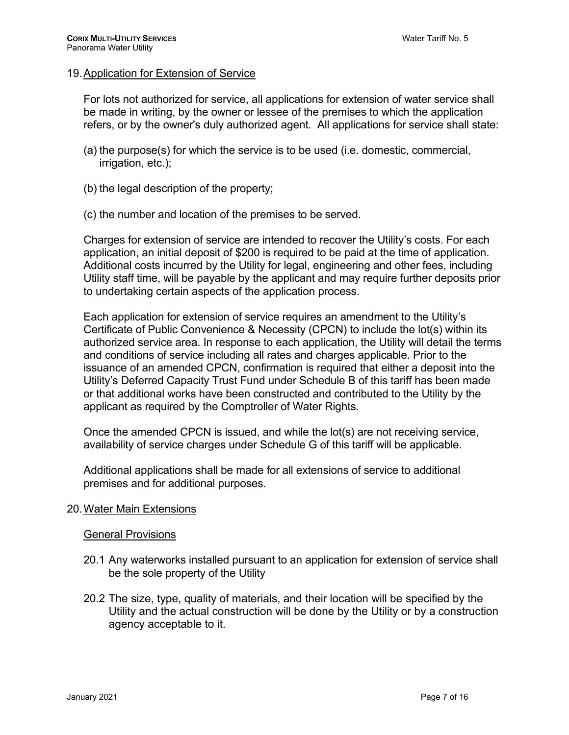### 19.Application for Extension of Service

For lots not authorized for service, all applications for extension of water service shall be made in writing, by the owner or lessee of the premises to which the application refers, or by the owner's duly authorized agent. All applications for service shall state:

- (a) the purpose(s) for which the service is to be used (i.e. domestic, commercial, irrigation, etc.);
- (b) the legal description of the property;
- (c) the number and location of the premises to be served.

Charges for extension of service are intended to recover the Utility's costs. For each application, an initial deposit of \$200 is required to be paid at the time of application. Additional costs incurred by the Utility for legal, engineering and other fees, including Utility staff time, will be payable by the applicant and may require further deposits prior to undertaking certain aspects of the application process.

Each application for extension of service requires an amendment to the Utility's Certificate of Public Convenience & Necessity (CPCN) to include the lot(s) within its authorized service area. In response to each application, the Utility will detail the terms and conditions of service including all rates and charges applicable. Prior to the issuance of an amended CPCN, confirmation is required that either a deposit into the Utility's Deferred Capacity Trust Fund under Schedule B of this tariff has been made or that additional works have been constructed and contributed to the Utility by the applicant as required by the Comptroller of Water Rights.

Once the amended CPCN is issued, and while the lot(s) are not receiving service, availability of service charges under Schedule G of this tariff will be applicable.

Additional applications shall be made for all extensions of service to additional premises and for additional purposes.

### 20.Water Main Extensions

#### General Provisions

- 20.1 Any waterworks installed pursuant to an application for extension of service shall be the sole property of the Utility
- 20.2 The size, type, quality of materials, and their location will be specified by the Utility and the actual construction will be done by the Utility or by a construction agency acceptable to it.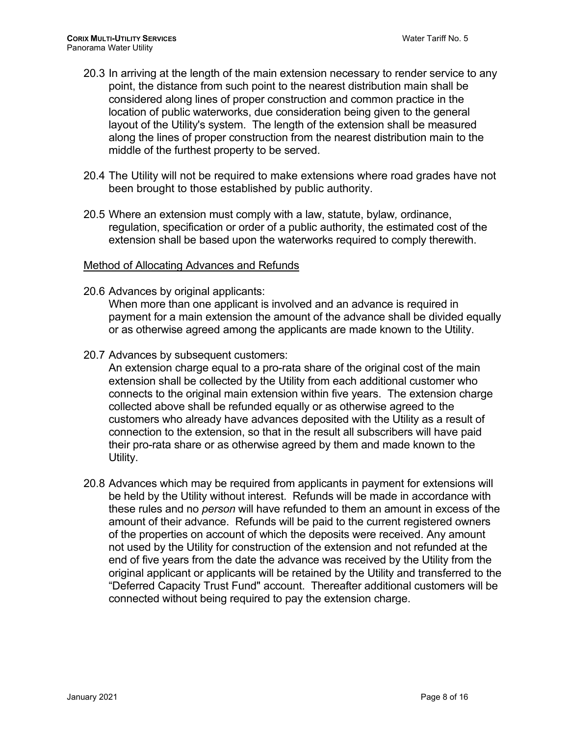- 20.3 In arriving at the length of the main extension necessary to render service to any point, the distance from such point to the nearest distribution main shall be considered along lines of proper construction and common practice in the location of public waterworks, due consideration being given to the general layout of the Utility's system. The length of the extension shall be measured along the lines of proper construction from the nearest distribution main to the middle of the furthest property to be served.
- 20.4 The Utility will not be required to make extensions where road grades have not been brought to those established by public authority.
- 20.5 Where an extension must comply with a law, statute, bylaw*,* ordinance, regulation, specification or order of a public authority, the estimated cost of the extension shall be based upon the waterworks required to comply therewith.

### Method of Allocating Advances and Refunds

20.6 Advances by original applicants:

When more than one applicant is involved and an advance is required in payment for a main extension the amount of the advance shall be divided equally or as otherwise agreed among the applicants are made known to the Utility.

20.7 Advances by subsequent customers:

An extension charge equal to a pro-rata share of the original cost of the main extension shall be collected by the Utility from each additional customer who connects to the original main extension within five years. The extension charge collected above shall be refunded equally or as otherwise agreed to the customers who already have advances deposited with the Utility as a result of connection to the extension, so that in the result all subscribers will have paid their pro-rata share or as otherwise agreed by them and made known to the Utility.

20.8 Advances which may be required from applicants in payment for extensions will be held by the Utility without interest. Refunds will be made in accordance with these rules and no *person* will have refunded to them an amount in excess of the amount of their advance. Refunds will be paid to the current registered owners of the properties on account of which the deposits were received. Any amount not used by the Utility for construction of the extension and not refunded at the end of five years from the date the advance was received by the Utility from the original applicant or applicants will be retained by the Utility and transferred to the "Deferred Capacity Trust Fund" account. Thereafter additional customers will be connected without being required to pay the extension charge.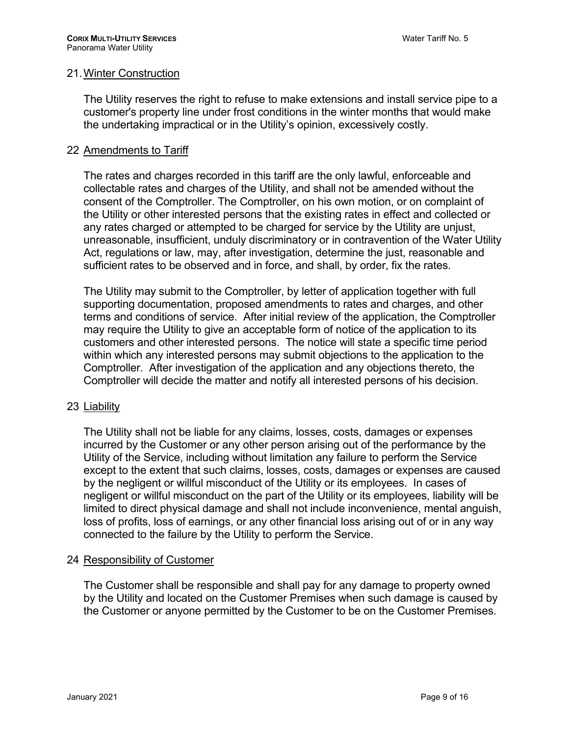### 21.Winter Construction

The Utility reserves the right to refuse to make extensions and install service pipe to a customer's property line under frost conditions in the winter months that would make the undertaking impractical or in the Utility's opinion, excessively costly.

### 22 Amendments to Tariff

The rates and charges recorded in this tariff are the only lawful, enforceable and collectable rates and charges of the Utility, and shall not be amended without the consent of the Comptroller. The Comptroller, on his own motion, or on complaint of the Utility or other interested persons that the existing rates in effect and collected or any rates charged or attempted to be charged for service by the Utility are unjust, unreasonable, insufficient, unduly discriminatory or in contravention of the Water Utility Act, regulations or law, may, after investigation, determine the just, reasonable and sufficient rates to be observed and in force, and shall, by order, fix the rates.

The Utility may submit to the Comptroller, by letter of application together with full supporting documentation, proposed amendments to rates and charges, and other terms and conditions of service. After initial review of the application, the Comptroller may require the Utility to give an acceptable form of notice of the application to its customers and other interested persons. The notice will state a specific time period within which any interested persons may submit objections to the application to the Comptroller. After investigation of the application and any objections thereto, the Comptroller will decide the matter and notify all interested persons of his decision.

### 23 Liability

The Utility shall not be liable for any claims, losses, costs, damages or expenses incurred by the Customer or any other person arising out of the performance by the Utility of the Service, including without limitation any failure to perform the Service except to the extent that such claims, losses, costs, damages or expenses are caused by the negligent or willful misconduct of the Utility or its employees. In cases of negligent or willful misconduct on the part of the Utility or its employees, liability will be limited to direct physical damage and shall not include inconvenience, mental anguish, loss of profits, loss of earnings, or any other financial loss arising out of or in any way connected to the failure by the Utility to perform the Service.

### 24 Responsibility of Customer

The Customer shall be responsible and shall pay for any damage to property owned by the Utility and located on the Customer Premises when such damage is caused by the Customer or anyone permitted by the Customer to be on the Customer Premises.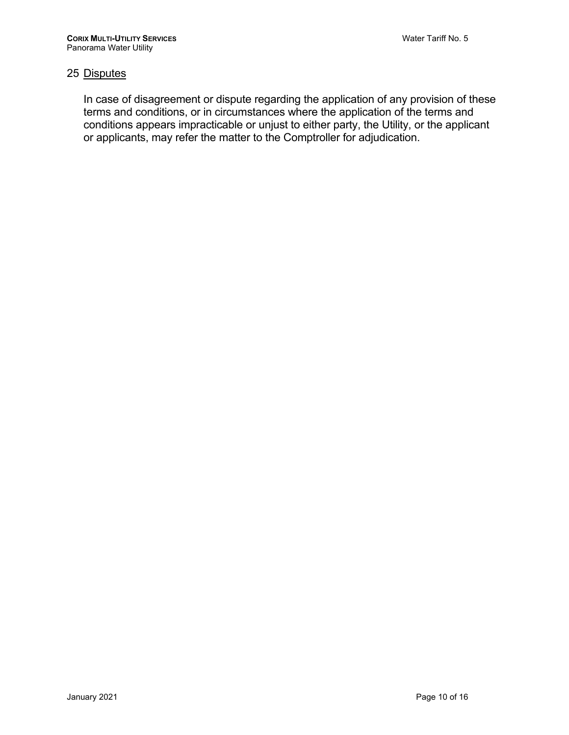# 25 Disputes

In case of disagreement or dispute regarding the application of any provision of these terms and conditions, or in circumstances where the application of the terms and conditions appears impracticable or unjust to either party, the Utility, or the applicant or applicants, may refer the matter to the Comptroller for adjudication.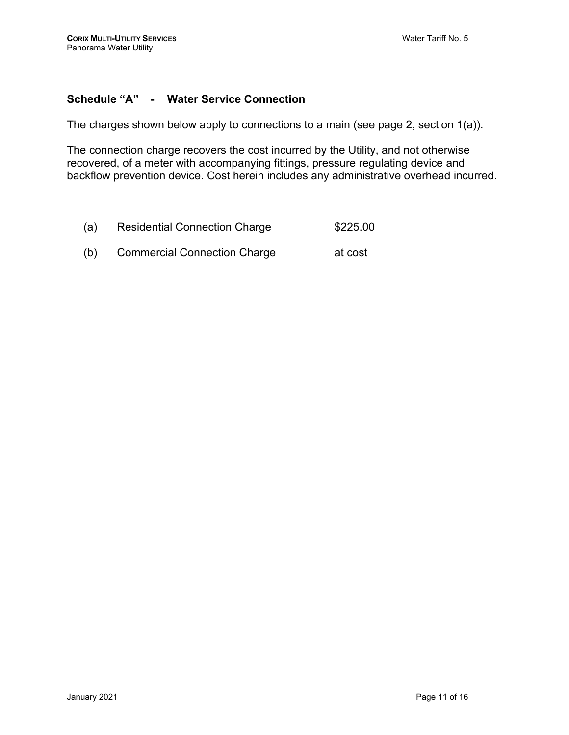# **Schedule "A" - Water Service Connection**

The charges shown below apply to connections to a main (see page 2, section 1(a)).

The connection charge recovers the cost incurred by the Utility, and not otherwise recovered, of a meter with accompanying fittings, pressure regulating device and backflow prevention device. Cost herein includes any administrative overhead incurred.

| (a) | <b>Residential Connection Charge</b> | \$225.00 |
|-----|--------------------------------------|----------|
| (b) | <b>Commercial Connection Charge</b>  | at cost  |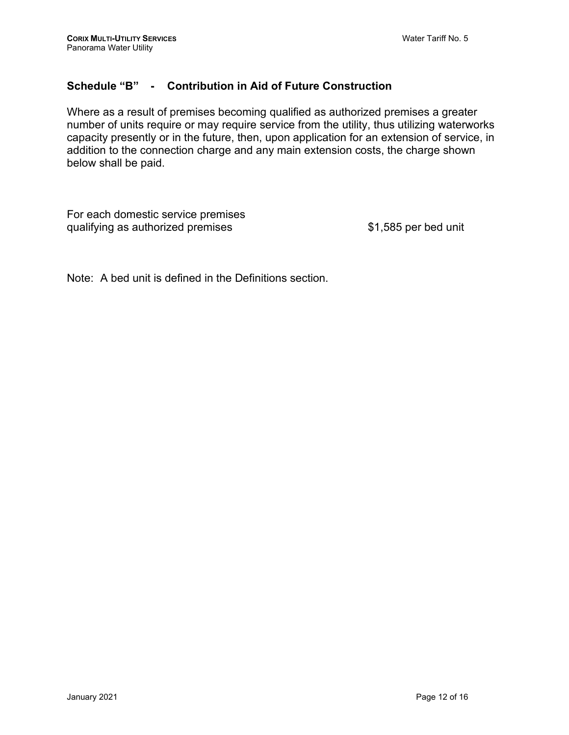# **Schedule "B" - Contribution in Aid of Future Construction**

Where as a result of premises becoming qualified as authorized premises a greater number of units require or may require service from the utility, thus utilizing waterworks capacity presently or in the future, then, upon application for an extension of service, in addition to the connection charge and any main extension costs, the charge shown below shall be paid.

For each domestic service premises qualifying as authorized premises  $$1,585$  per bed unit

Note: A bed unit is defined in the Definitions section.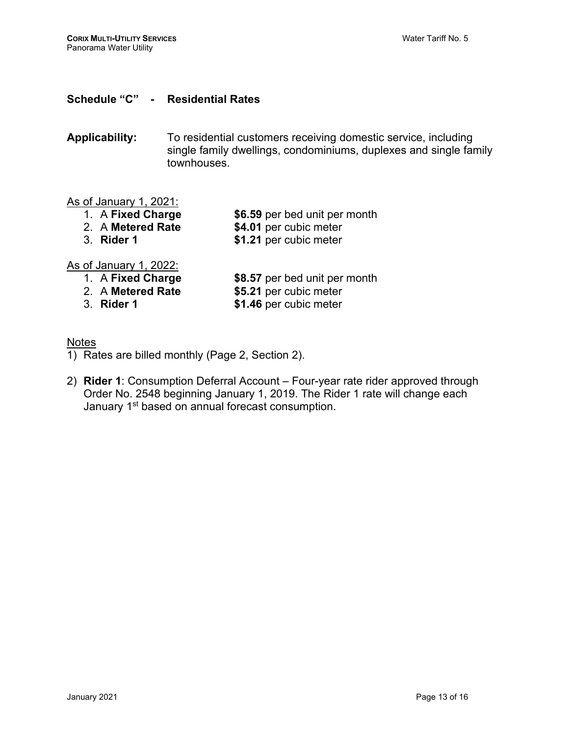## **Schedule "C" - Residential Rates**

**Applicability:** To residential customers receiving domestic service, including single family dwellings, condominiums, duplexes and single family townhouses.

## As of January 1, 2021:

- 1. A **Fixed Charge \$6.59** per bed unit per month
	-
- 2. A **Metered Rate \$4.01** per cubic meter \$1.21 per cubic meter

### As of January 1, 2022:

- 1. A **Fixed Charge \$8.57** per bed unit per month **2.** A **Metered Rate \$5.21** per cubic meter
	- 2. A **Metered Rate \$5.21** per cubic meter
	-

\$1.46 per cubic meter

- **Notes**
- 1) Rates are billed monthly (Page 2, Section 2).
- 2) **Rider 1**: Consumption Deferral Account Four-year rate rider approved through Order No. 2548 beginning January 1, 2019. The Rider 1 rate will change each January 1<sup>st</sup> based on annual forecast consumption.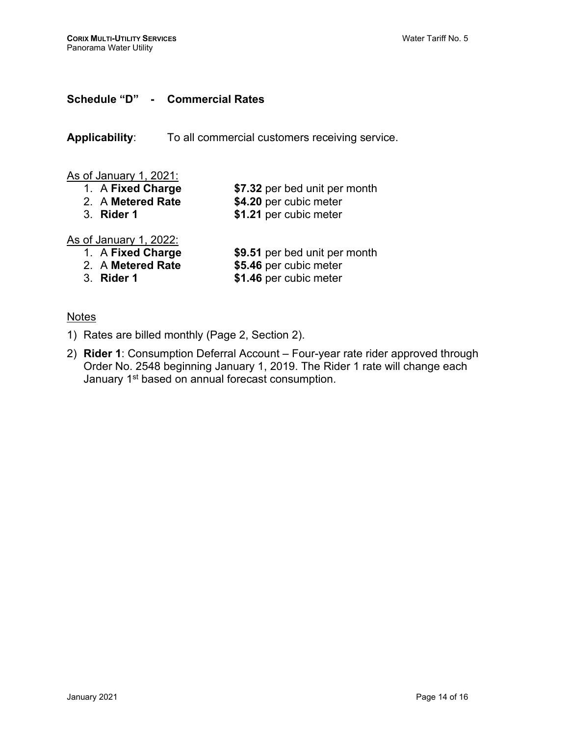# **Schedule "D" - Commercial Rates**

**Applicability**: To all commercial customers receiving service.

# As of January 1, 2021:

- 1. A **Fixed Charge \$7.32** per bed unit per month
	-
	-

2. A **Metered Rate \$4.20** per cubic meter

\$1.21 per cubic meter

As of January 1, 2022:<br>1. A Fixed Charge

- \$9.51 per bed unit per month
- 
- 
- 
- 2. A **Metered Rate \$5.46** per cubic meter \$1.46 per cubic meter

# **Notes**

- 1) Rates are billed monthly (Page 2, Section 2).
- 2) **Rider 1**: Consumption Deferral Account Four-year rate rider approved through Order No. 2548 beginning January 1, 2019. The Rider 1 rate will change each January 1<sup>st</sup> based on annual forecast consumption.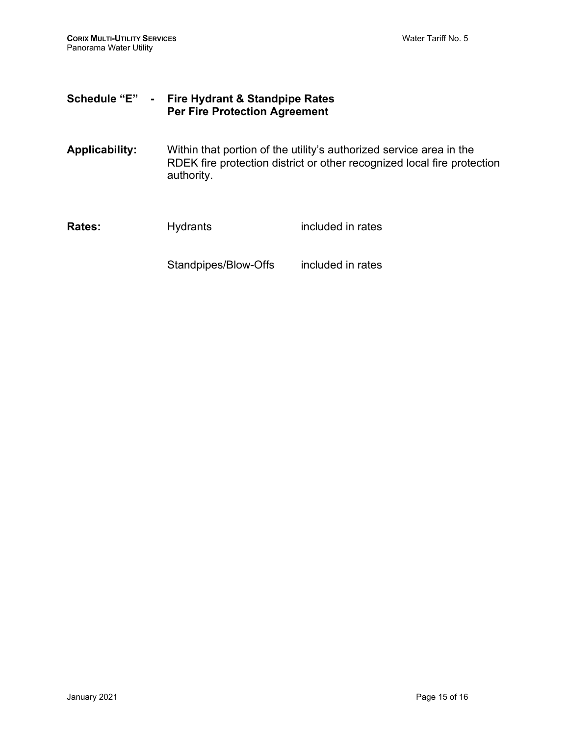# **Schedule "E" - Fire Hydrant & Standpipe Rates Per Fire Protection Agreement**

**Applicability:** Within that portion of the utility's authorized service area in the RDEK fire protection district or other recognized local fire protection authority.

**Rates:** Hydrants included in rates Standpipes/Blow-Offs included in rates